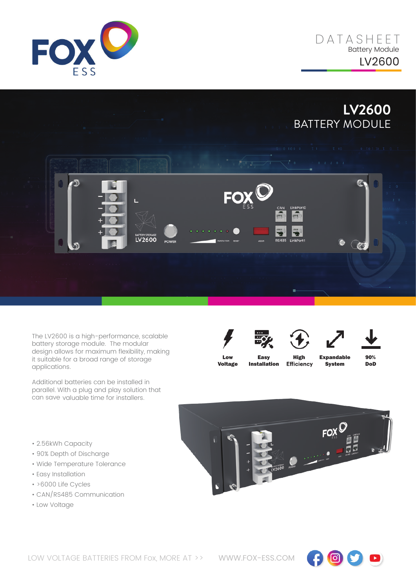

D A T ASHE E T Battery Module LV2600

**LV2600** BATTERY MODULE



The LV2600 is a high-performance, scalable battery storage module. The modular design allows for maximum flexibility, making it suitable for a broad range of storage applications.

Additional batteries can be installed in parallel. With a plug and play solution that can save valuable time for installers.







Low Voltage

Easy Installation

**High Expandable**<br>Efficiency **System** System

90% DoD

- $\mathsf{row}^\mathbb{C}$  $\frac{1}{2600}$
- CAN/RS485 Communication

• Easy Installation • >6000 Life Cycles

• 2.56kWh Capacity • 90% Depth of Discharge • Wide Temperature Tolerance

• Low Voltage